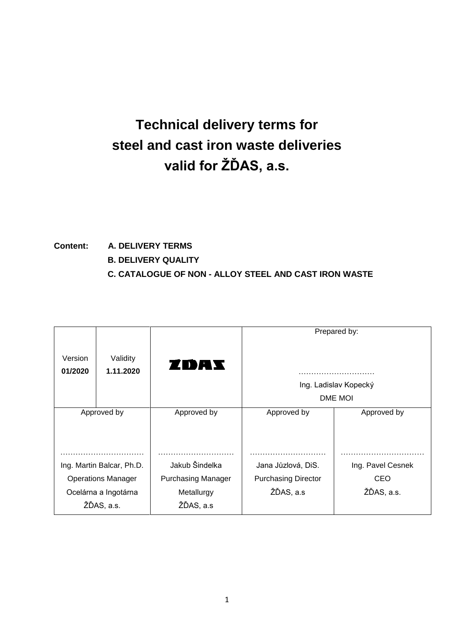# **Technical delivery terms for steel and cast iron waste deliveries valid for ŽĎAS, a.s.**

# **Content: A. DELIVERY TERMS B. DELIVERY QUALITY C. CATALOGUE OF NON - ALLOY STEEL AND CAST IRON WASTE**

|                           |                       |                           |                            | Prepared by:          |
|---------------------------|-----------------------|---------------------------|----------------------------|-----------------------|
| Version<br>01/2020        | Validity<br>1.11.2020 | ZDAX                      |                            |                       |
|                           |                       |                           |                            | Ing. Ladislav Kopecký |
|                           |                       |                           |                            | DME MOI               |
| Approved by               |                       | Approved by               | Approved by                | Approved by           |
|                           |                       |                           |                            |                       |
| Ing. Martin Balcar, Ph.D. |                       | Jakub Šindelka            | Jana Jůzlová, DiS.         | Ing. Pavel Cesnek     |
| <b>Operations Manager</b> |                       | <b>Purchasing Manager</b> | <b>Purchasing Director</b> | CEO                   |
| Ocelárna a Ingotárna      |                       | Metallurgy                | ŽĎAS, a.s                  | ŽĎAS, a.s.            |
| ŽĎAS, a.s.                |                       | ŽĎAS, a.s                 |                            |                       |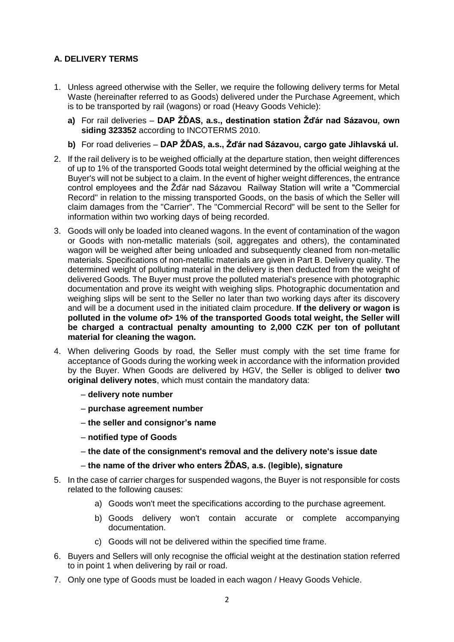# **A. DELIVERY TERMS**

- 1. Unless agreed otherwise with the Seller, we require the following delivery terms for Metal Waste (hereinafter referred to as Goods) delivered under the Purchase Agreement, which is to be transported by rail (wagons) or road (Heavy Goods Vehicle):
	- **a)** For rail deliveries **DAP ŽĎAS, a.s., destination station Žďár nad Sázavou, own siding 323352** according to INCOTERMS 2010.
	- **b)** For road deliveries **DAP ŽĎAS, a.s., Žďár nad Sázavou, cargo gate Jihlavská ul.**
- 2. If the rail delivery is to be weighed officially at the departure station, then weight differences of up to 1% of the transported Goods total weight determined by the official weighing at the Buyer's will not be subject to a claim. In the event of higher weight differences, the entrance control employees and the Žďár nad Sázavou Railway Station will write a "Commercial Record" in relation to the missing transported Goods, on the basis of which the Seller will claim damages from the "Carrier". The "Commercial Record" will be sent to the Seller for information within two working days of being recorded.
- 3. Goods will only be loaded into cleaned wagons. In the event of contamination of the wagon or Goods with non-metallic materials (soil, aggregates and others), the contaminated wagon will be weighed after being unloaded and subsequently cleaned from non-metallic materials. Specifications of non-metallic materials are given in Part B. Delivery quality. The determined weight of polluting material in the delivery is then deducted from the weight of delivered Goods. The Buyer must prove the polluted material's presence with photographic documentation and prove its weight with weighing slips. Photographic documentation and weighing slips will be sent to the Seller no later than two working days after its discovery and will be a document used in the initiated claim procedure. **If the delivery or wagon is**  polluted in the volume of > 1% of the transported Goods total weight, the Seller will **be charged a contractual penalty amounting to 2,000 CZK per ton of pollutant material for cleaning the wagon.**
- 4. When delivering Goods by road, the Seller must comply with the set time frame for acceptance of Goods during the working week in accordance with the information provided by the Buyer. When Goods are delivered by HGV, the Seller is obliged to deliver **two original delivery notes**, which must contain the mandatory data:
	- **delivery note number**
	- **purchase agreement number**
	- **the seller and consignor's name**
	- **notified type of Goods**
	- **the date of the consignment's removal and the delivery note's issue date**
	- **the name of the driver who enters ŽĎAS, a.s. (legible), signature**
- 5. In the case of carrier charges for suspended wagons, the Buyer is not responsible for costs related to the following causes:
	- a) Goods won't meet the specifications according to the purchase agreement.
	- b) Goods delivery won't contain accurate or complete accompanying documentation.
	- c) Goods will not be delivered within the specified time frame.
- 6. Buyers and Sellers will only recognise the official weight at the destination station referred to in point 1 when delivering by rail or road.
- 7. Only one type of Goods must be loaded in each wagon / Heavy Goods Vehicle.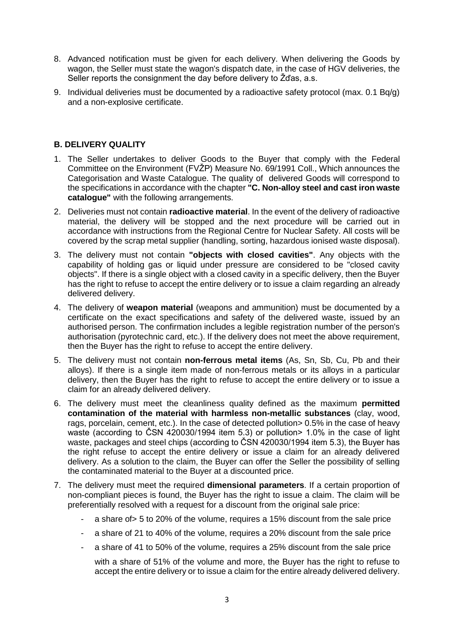- 8. Advanced notification must be given for each delivery. When delivering the Goods by wagon, the Seller must state the wagon's dispatch date, in the case of HGV deliveries, the Seller reports the consignment the day before delivery to Žďas, a.s.
- 9. Individual deliveries must be documented by a radioactive safety protocol (max. 0.1 Bq/g) and a non-explosive certificate.

#### **B. DELIVERY QUALITY**

- 1. The Seller undertakes to deliver Goods to the Buyer that comply with the Federal Committee on the Environment (FVŽP) Measure No. 69/1991 Coll., Which announces the Categorisation and Waste Catalogue. The quality of delivered Goods will correspond to the specifications in accordance with the chapter **"C. Non-alloy steel and cast iron waste catalogue"** with the following arrangements.
- 2. Deliveries must not contain **radioactive material**. In the event of the delivery of radioactive material, the delivery will be stopped and the next procedure will be carried out in accordance with instructions from the Regional Centre for Nuclear Safety. All costs will be covered by the scrap metal supplier (handling, sorting, hazardous ionised waste disposal).
- 3. The delivery must not contain **"objects with closed cavities"**. Any objects with the capability of holding gas or liquid under pressure are considered to be "closed cavity objects". If there is a single object with a closed cavity in a specific delivery, then the Buyer has the right to refuse to accept the entire delivery or to issue a claim regarding an already delivered delivery.
- 4. The delivery of **weapon material** (weapons and ammunition) must be documented by a certificate on the exact specifications and safety of the delivered waste, issued by an authorised person. The confirmation includes a legible registration number of the person's authorisation (pyrotechnic card, etc.). If the delivery does not meet the above requirement, then the Buyer has the right to refuse to accept the entire delivery.
- 5. The delivery must not contain **non-ferrous metal items** (As, Sn, Sb, Cu, Pb and their alloys). If there is a single item made of non-ferrous metals or its alloys in a particular delivery, then the Buyer has the right to refuse to accept the entire delivery or to issue a claim for an already delivered delivery.
- 6. The delivery must meet the cleanliness quality defined as the maximum **permitted contamination of the material with harmless non-metallic substances** (clay, wood, rags, porcelain, cement, etc.). In the case of detected pollution > 0.5% in the case of heavy waste (according to ČSN 420030/1994 item 5.3) or pollution> 1.0% in the case of light waste, packages and steel chips (according to CSN 420030/1994 item 5.3), the Buyer has the right refuse to accept the entire delivery or issue a claim for an already delivered delivery. As a solution to the claim, the Buyer can offer the Seller the possibility of selling the contaminated material to the Buyer at a discounted price.
- 7. The delivery must meet the required **dimensional parameters**. If a certain proportion of non-compliant pieces is found, the Buyer has the right to issue a claim. The claim will be preferentially resolved with a request for a discount from the original sale price:
	- a share of > 5 to 20% of the volume, requires a 15% discount from the sale price
	- a share of 21 to 40% of the volume, requires a 20% discount from the sale price
	- a share of 41 to 50% of the volume, requires a 25% discount from the sale price

with a share of 51% of the volume and more, the Buyer has the right to refuse to accept the entire delivery or to issue a claim for the entire already delivered delivery.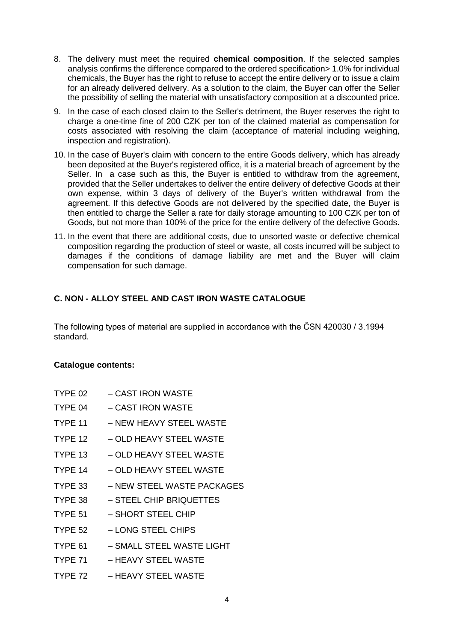- 8. The delivery must meet the required **chemical composition**. If the selected samples analysis confirms the difference compared to the ordered specification> 1.0% for individual chemicals, the Buyer has the right to refuse to accept the entire delivery or to issue a claim for an already delivered delivery. As a solution to the claim, the Buyer can offer the Seller the possibility of selling the material with unsatisfactory composition at a discounted price.
- 9. In the case of each closed claim to the Seller's detriment, the Buyer reserves the right to charge a one-time fine of 200 CZK per ton of the claimed material as compensation for costs associated with resolving the claim (acceptance of material including weighing, inspection and registration).
- 10. In the case of Buyer's claim with concern to the entire Goods delivery, which has already been deposited at the Buyer's registered office, it is a material breach of agreement by the Seller. In a case such as this, the Buyer is entitled to withdraw from the agreement, provided that the Seller undertakes to deliver the entire delivery of defective Goods at their own expense, within 3 days of delivery of the Buyer's written withdrawal from the agreement. If this defective Goods are not delivered by the specified date, the Buyer is then entitled to charge the Seller a rate for daily storage amounting to 100 CZK per ton of Goods, but not more than 100% of the price for the entire delivery of the defective Goods.
- 11. In the event that there are additional costs, due to unsorted waste or defective chemical composition regarding the production of steel or waste, all costs incurred will be subject to damages if the conditions of damage liability are met and the Buyer will claim compensation for such damage.

## **C. NON - ALLOY STEEL AND CAST IRON WASTE CATALOGUE**

The following types of material are supplied in accordance with the ČSN 420030 / 3.1994 standard.

#### **Catalogue contents:**

- TYPE 02 CAST IRON WASTE
- TYPE 04 CAST IRON WASTE
- TYPE 11 NEW HEAVY STEEL WASTE
- TYPE 12 OLD HEAVY STEEL WASTE
- TYPE 13 OLD HEAVY STEEL WASTE
- TYPE 14 OLD HEAVY STEEL WASTE
- TYPE 33 NEW STEEL WASTE PACKAGES
- TYPE 38 STEEL CHIP BRIQUETTES
- TYPE 51 SHORT STEEL CHIP
- TYPE 52 LONG STEEL CHIPS
- TYPE 61 SMALL STEEL WASTE LIGHT
- TYPE 71 HEAVY STEEL WASTE
- TYPE 72 HEAVY STEEL WASTE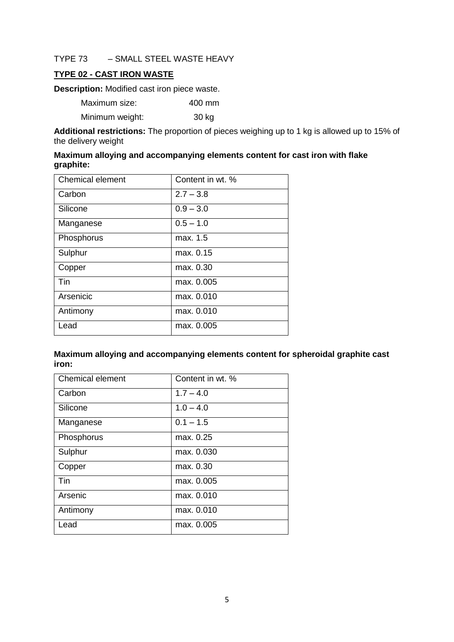#### TYPE 73 – SMALL STEEL WASTE HEAVY

## **TYPE 02 - CAST IRON WASTE**

**Description:** Modified cast iron piece waste.

| Maximum size:   | 400 mm |
|-----------------|--------|
| Minimum weight: | 30 kg  |

**Additional restrictions:** The proportion of pieces weighing up to 1 kg is allowed up to 15% of the delivery weight

#### **Maximum alloying and accompanying elements content for cast iron with flake graphite:**

| <b>Chemical element</b> | Content in wt. % |
|-------------------------|------------------|
| Carbon                  | $2.7 - 3.8$      |
| Silicone                | $0.9 - 3.0$      |
| Manganese               | $0.5 - 1.0$      |
| Phosphorus              | max. 1.5         |
| Sulphur                 | max. 0.15        |
| Copper                  | max. 0.30        |
| Tin                     | max. 0.005       |
| Arsenicic               | max. 0.010       |
| Antimony                | max. 0.010       |
| Lead                    | max. 0.005       |

**Maximum alloying and accompanying elements content for spheroidal graphite cast iron:**

| <b>Chemical element</b> | Content in wt. % |
|-------------------------|------------------|
| Carbon                  | $1.7 - 4.0$      |
| Silicone                | $1.0 - 4.0$      |
| Manganese               | $0.1 - 1.5$      |
| Phosphorus              | max. 0.25        |
| Sulphur                 | max. 0.030       |
| Copper                  | max. 0.30        |
| Tin                     | max. 0.005       |
| Arsenic                 | max. 0.010       |
| Antimony                | max. 0.010       |
| Lead                    | max. 0.005       |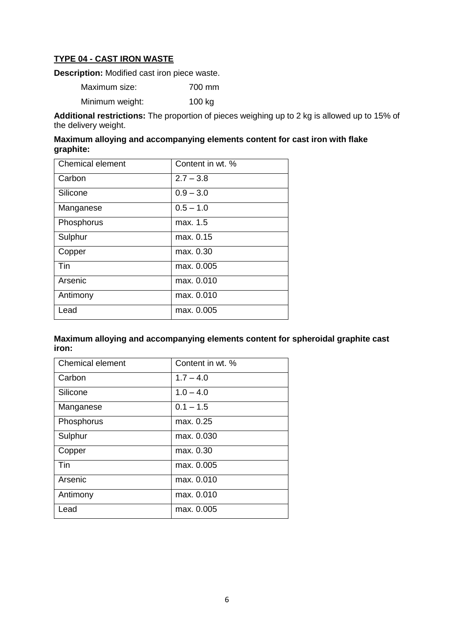## **TYPE 04 - CAST IRON WASTE**

**Description:** Modified cast iron piece waste.

Maximum size: 700 mm Minimum weight: 100 kg

**Additional restrictions:** The proportion of pieces weighing up to 2 kg is allowed up to 15% of the delivery weight.

#### **Maximum alloying and accompanying elements content for cast iron with flake graphite:**

| <b>Chemical element</b> | Content in wt. % |
|-------------------------|------------------|
| Carbon                  | $2.7 - 3.8$      |
| Silicone                | $0.9 - 3.0$      |
| Manganese               | $0.5 - 1.0$      |
| Phosphorus              | max. 1.5         |
| Sulphur                 | max. 0.15        |
| Copper                  | max. 0.30        |
| Tin                     | max. 0.005       |
| Arsenic                 | max. 0.010       |
| Antimony                | max. 0.010       |
| Lead                    | max. 0.005       |

#### **Maximum alloying and accompanying elements content for spheroidal graphite cast iron:**

| <b>Chemical element</b> | Content in wt. % |
|-------------------------|------------------|
| Carbon                  | $1.7 - 4.0$      |
| Silicone                | $1.0 - 4.0$      |
| Manganese               | $0.1 - 1.5$      |
| Phosphorus              | max. 0.25        |
| Sulphur                 | max. 0.030       |
| Copper                  | max. 0.30        |
| Tin                     | max. 0.005       |
| Arsenic                 | max. 0.010       |
| Antimony                | max. 0.010       |
| Lead                    | max. 0.005       |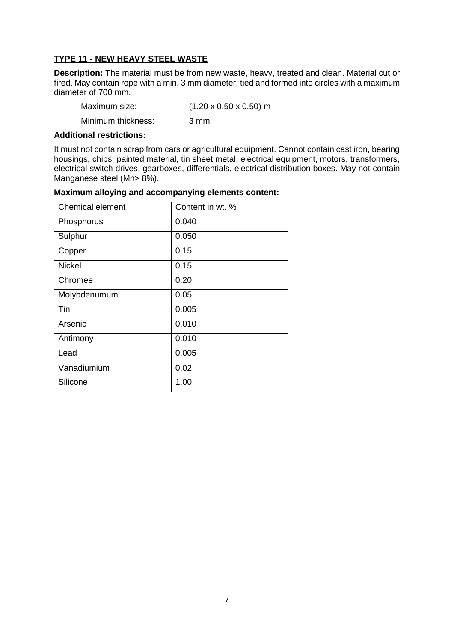## **TYPE 11 - NEW HEAVY STEEL WASTE**

**Description:** The material must be from new waste, heavy, treated and clean. Material cut or fired. May contain rope with a min. 3 mm diameter, tied and formed into circles with a maximum diameter of 700 mm.

| Maximum size:      | $(1.20 \times 0.50 \times 0.50)$ m |
|--------------------|------------------------------------|
| Minimum thickness: | 3 mm                               |

#### **Additional restrictions:**

It must not contain scrap from cars or agricultural equipment. Cannot contain cast iron, bearing housings, chips, painted material, tin sheet metal, electrical equipment, motors, transformers, electrical switch drives, gearboxes, differentials, electrical distribution boxes. May not contain Manganese steel (Mn> 8%).

| <b>Chemical element</b> | Content in wt. % |
|-------------------------|------------------|
| Phosphorus              | 0.040            |
| Sulphur                 | 0.050            |
| Copper                  | 0.15             |
| <b>Nickel</b>           | 0.15             |
| Chromee                 | 0.20             |
| Molybdenumum            | 0.05             |
| Tin                     | 0.005            |
| Arsenic                 | 0.010            |
| Antimony                | 0.010            |
| Lead                    | 0.005            |
| Vanadiumium             | 0.02             |
| Silicone                | 1.00             |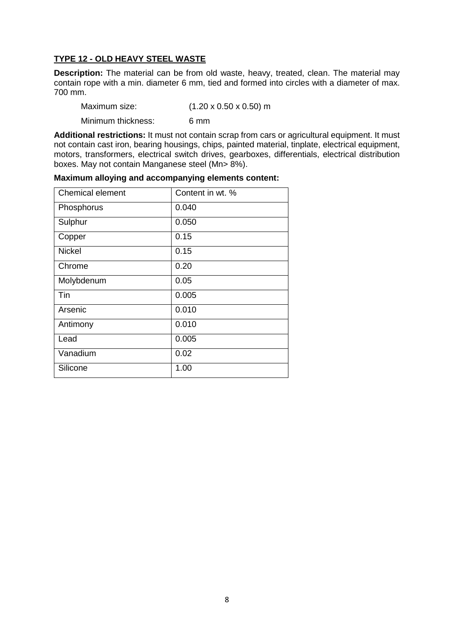### **TYPE 12 - OLD HEAVY STEEL WASTE**

**Description:** The material can be from old waste, heavy, treated, clean. The material may contain rope with a min. diameter 6 mm, tied and formed into circles with a diameter of max. 700 mm.

| Maximum size: | $(1.20 \times 0.50 \times 0.50)$ m |
|---------------|------------------------------------|
|               |                                    |

Minimum thickness: 6 mm

**Additional restrictions:** It must not contain scrap from cars or agricultural equipment. It must not contain cast iron, bearing housings, chips, painted material, tinplate, electrical equipment, motors, transformers, electrical switch drives, gearboxes, differentials, electrical distribution boxes. May not contain Manganese steel (Mn> 8%).

| <b>Chemical element</b> | Content in wt. % |
|-------------------------|------------------|
| Phosphorus              | 0.040            |
| Sulphur                 | 0.050            |
| Copper                  | 0.15             |
| <b>Nickel</b>           | 0.15             |
| Chrome                  | 0.20             |
| Molybdenum              | 0.05             |
| Tin                     | 0.005            |
| Arsenic                 | 0.010            |
| Antimony                | 0.010            |
| Lead                    | 0.005            |
| Vanadium                | 0.02             |
| Silicone                | 1.00             |

**Maximum alloying and accompanying elements content:**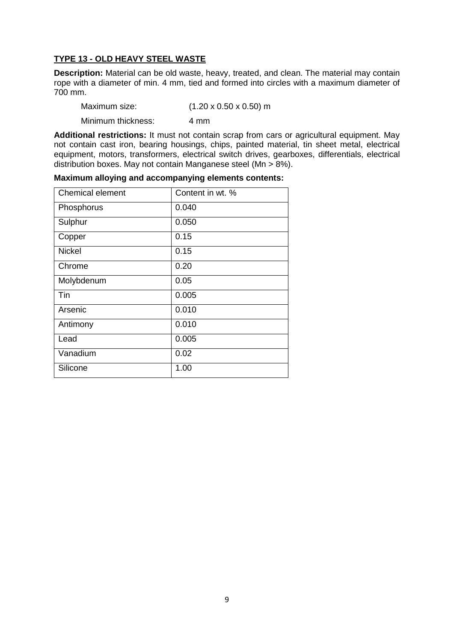#### **TYPE 13 - OLD HEAVY STEEL WASTE**

**Description:** Material can be old waste, heavy, treated, and clean. The material may contain rope with a diameter of min. 4 mm, tied and formed into circles with a maximum diameter of 700 mm.

| Maximum size: | $(1.20 \times 0.50 \times 0.50)$ m |
|---------------|------------------------------------|
|               |                                    |

Minimum thickness: 4 mm

**Additional restrictions:** It must not contain scrap from cars or agricultural equipment. May not contain cast iron, bearing housings, chips, painted material, tin sheet metal, electrical equipment, motors, transformers, electrical switch drives, gearboxes, differentials, electrical distribution boxes. May not contain Manganese steel (Mn > 8%).

| Chemical element | Content in wt. % |
|------------------|------------------|
| Phosphorus       | 0.040            |
| Sulphur          | 0.050            |
| Copper           | 0.15             |
| <b>Nickel</b>    | 0.15             |
| Chrome           | 0.20             |
| Molybdenum       | 0.05             |
| Tin              | 0.005            |
| Arsenic          | 0.010            |
| Antimony         | 0.010            |
| Lead             | 0.005            |
| Vanadium         | 0.02             |
| Silicone         | 1.00             |

**Maximum alloying and accompanying elements contents:**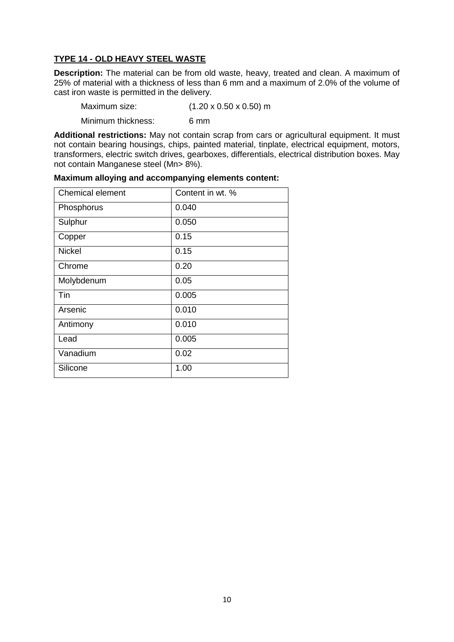## **TYPE 14 - OLD HEAVY STEEL WASTE**

**Description:** The material can be from old waste, heavy, treated and clean. A maximum of 25% of material with a thickness of less than 6 mm and a maximum of 2.0% of the volume of cast iron waste is permitted in the delivery.

| Maximum size:      | $(1.20 \times 0.50 \times 0.50)$ m |
|--------------------|------------------------------------|
| Minimum thickness: | 6 mm                               |

**Additional restrictions:** May not contain scrap from cars or agricultural equipment. It must not contain bearing housings, chips, painted material, tinplate, electrical equipment, motors, transformers, electric switch drives, gearboxes, differentials, electrical distribution boxes. May not contain Manganese steel (Mn> 8%).

| <b>Chemical element</b> | Content in wt. % |
|-------------------------|------------------|
| Phosphorus              | 0.040            |
| Sulphur                 | 0.050            |
| Copper                  | 0.15             |
| <b>Nickel</b>           | 0.15             |
| Chrome                  | 0.20             |
| Molybdenum              | 0.05             |
| Tin                     | 0.005            |
| Arsenic                 | 0.010            |
| Antimony                | 0.010            |
| Lead                    | 0.005            |
| Vanadium                | 0.02             |
| Silicone                | 1.00             |

**Maximum alloying and accompanying elements content:**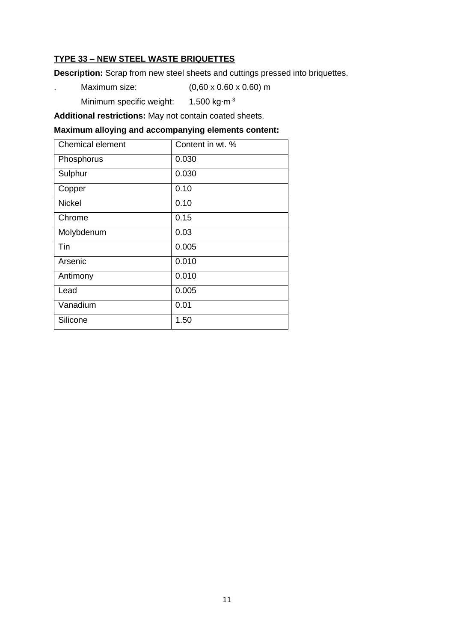# **TYPE 33 – NEW STEEL WASTE BRIQUETTES**

**Description:** Scrap from new steel sheets and cuttings pressed into briquettes.

- . Maximum size: (0,60 x 0.60 x 0.60) m
	- Minimum specific weight: 1.500 kg⋅m<sup>-3</sup>

**Additional restrictions:** May not contain coated sheets.

| Chemical element | Content in wt. % |
|------------------|------------------|
| Phosphorus       | 0.030            |
| Sulphur          | 0.030            |
| Copper           | 0.10             |
| <b>Nickel</b>    | 0.10             |
| Chrome           | 0.15             |
| Molybdenum       | 0.03             |
| Tin              | 0.005            |
| Arsenic          | 0.010            |
| Antimony         | 0.010            |
| Lead             | 0.005            |
| Vanadium         | 0.01             |
| Silicone         | 1.50             |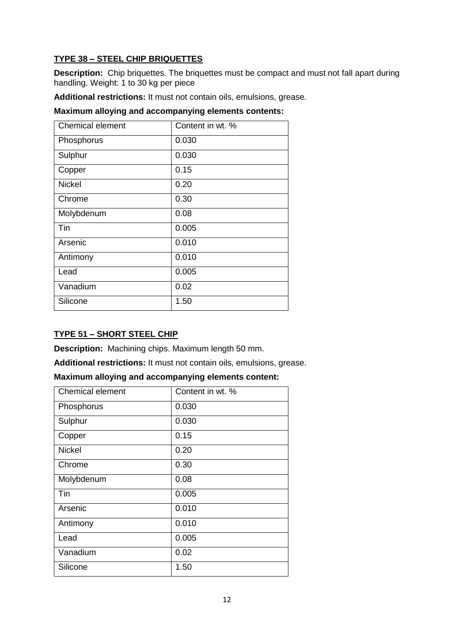# **TYPE 38 – STEEL CHIP BRIQUETTES**

**Description:** Chip briquettes. The briquettes must be compact and must not fall apart during handling. Weight: 1 to 30 kg per piece

**Additional restrictions:** It must not contain oils, emulsions, grease.

**Maximum alloying and accompanying elements contents:**

| <b>Chemical element</b> | Content in wt. % |
|-------------------------|------------------|
| Phosphorus              | 0.030            |
| Sulphur                 | 0.030            |
| Copper                  | 0.15             |
| <b>Nickel</b>           | 0.20             |
| Chrome                  | 0.30             |
| Molybdenum              | 0.08             |
| Tin                     | 0.005            |
| Arsenic                 | 0.010            |
| Antimony                | 0.010            |
| Lead                    | 0.005            |
| Vanadium                | 0.02             |
| Silicone                | 1.50             |

# **TYPE 51 – SHORT STEEL CHIP**

**Description:** Machining chips. Maximum length 50 mm.

**Additional restrictions:** It must not contain oils, emulsions, grease.

| Maximum alloying and accompanying elements content: |  |  |  |  |
|-----------------------------------------------------|--|--|--|--|
|-----------------------------------------------------|--|--|--|--|

| Chemical element | Content in wt. % |
|------------------|------------------|
| Phosphorus       | 0.030            |
| Sulphur          | 0.030            |
| Copper           | 0.15             |
| <b>Nickel</b>    | 0.20             |
| Chrome           | 0.30             |
| Molybdenum       | 0.08             |
| Tin              | 0.005            |
| Arsenic          | 0.010            |
| Antimony         | 0.010            |
| Lead             | 0.005            |
| Vanadium         | 0.02             |
| Silicone         | 1.50             |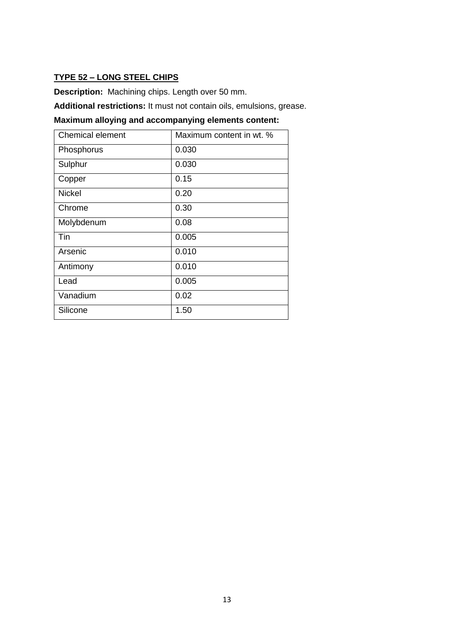## **TYPE 52 – LONG STEEL CHIPS**

**Description:** Machining chips. Length over 50 mm.

**Additional restrictions:** It must not contain oils, emulsions, grease. **Maximum alloying and accompanying elements content:**

| <b>Chemical element</b> | Maximum content in wt. % |
|-------------------------|--------------------------|
| Phosphorus              | 0.030                    |
| Sulphur                 | 0.030                    |
| Copper                  | 0.15                     |
| <b>Nickel</b>           | 0.20                     |
| Chrome                  | 0.30                     |
| Molybdenum              | 0.08                     |
| Tin                     | 0.005                    |
| Arsenic                 | 0.010                    |
| Antimony                | 0.010                    |
| Lead                    | 0.005                    |
| Vanadium                | 0.02                     |
| Silicone                | 1.50                     |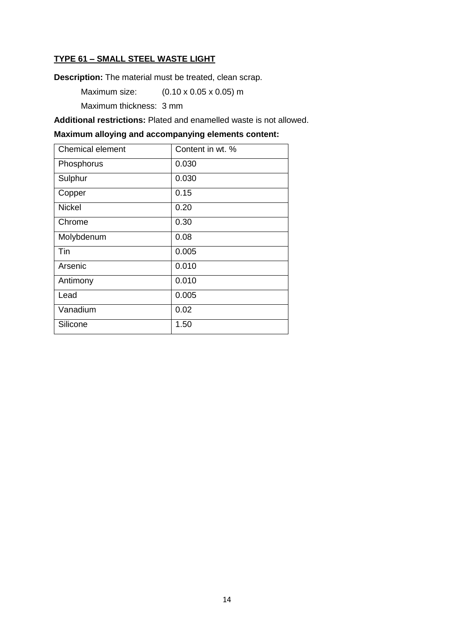## **TYPE 61 – SMALL STEEL WASTE LIGHT**

**Description:** The material must be treated, clean scrap.

Maximum size: (0.10 x 0.05 x 0.05) m

Maximum thickness: 3 mm

**Additional restrictions:** Plated and enamelled waste is not allowed.

| Chemical element | Content in wt. % |
|------------------|------------------|
| Phosphorus       | 0.030            |
| Sulphur          | 0.030            |
| Copper           | 0.15             |
| <b>Nickel</b>    | 0.20             |
| Chrome           | 0.30             |
| Molybdenum       | 0.08             |
| Tin              | 0.005            |
| Arsenic          | 0.010            |
| Antimony         | 0.010            |
| Lead             | 0.005            |
| Vanadium         | 0.02             |
| Silicone         | 1.50             |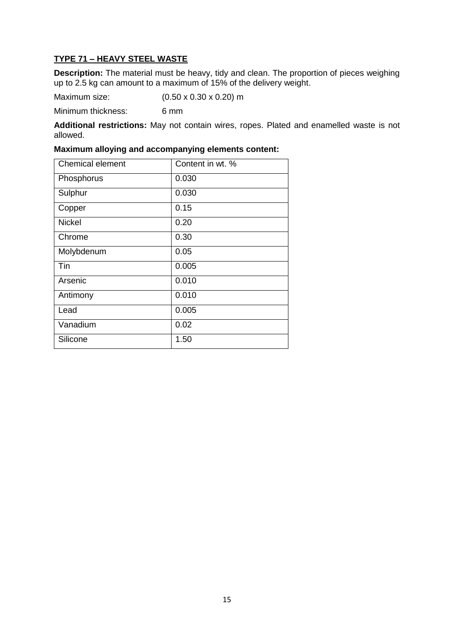# **TYPE 71 – HEAVY STEEL WASTE**

**Description:** The material must be heavy, tidy and clean. The proportion of pieces weighing up to 2.5 kg can amount to a maximum of 15% of the delivery weight.

Maximum size: (0.50 x 0.30 x 0.20) m

Minimum thickness: 6 mm

**Additional restrictions:** May not contain wires, ropes. Plated and enamelled waste is not allowed.

| <b>Chemical element</b> | Content in wt. % |
|-------------------------|------------------|
| Phosphorus              | 0.030            |
| Sulphur                 | 0.030            |
| Copper                  | 0.15             |
| <b>Nickel</b>           | 0.20             |
| Chrome                  | 0.30             |
| Molybdenum              | 0.05             |
| Tin                     | 0.005            |
| Arsenic                 | 0.010            |
| Antimony                | 0.010            |
| Lead                    | 0.005            |
| Vanadium                | 0.02             |
| Silicone                | 1.50             |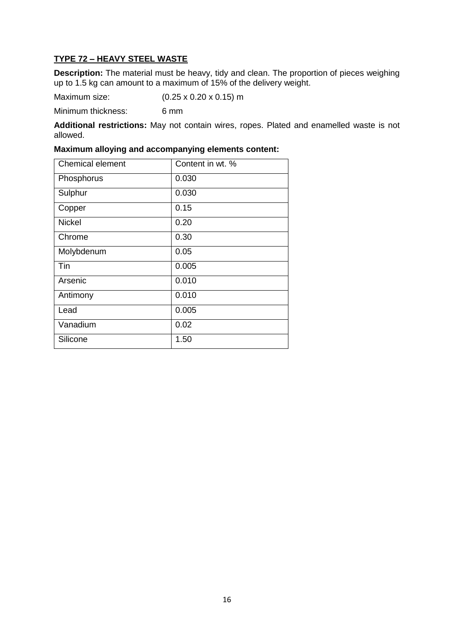# **TYPE 72 – HEAVY STEEL WASTE**

**Description:** The material must be heavy, tidy and clean. The proportion of pieces weighing up to 1.5 kg can amount to a maximum of 15% of the delivery weight.

Maximum size: (0.25 x 0.20 x 0.15) m

Minimum thickness: 6 mm

**Additional restrictions:** May not contain wires, ropes. Plated and enamelled waste is not allowed.

| <b>Chemical element</b> | Content in wt. % |
|-------------------------|------------------|
| Phosphorus              | 0.030            |
| Sulphur                 | 0.030            |
| Copper                  | 0.15             |
| <b>Nickel</b>           | 0.20             |
| Chrome                  | 0.30             |
| Molybdenum              | 0.05             |
| Tin                     | 0.005            |
| Arsenic                 | 0.010            |
| Antimony                | 0.010            |
| Lead                    | 0.005            |
| Vanadium                | 0.02             |
| Silicone                | 1.50             |